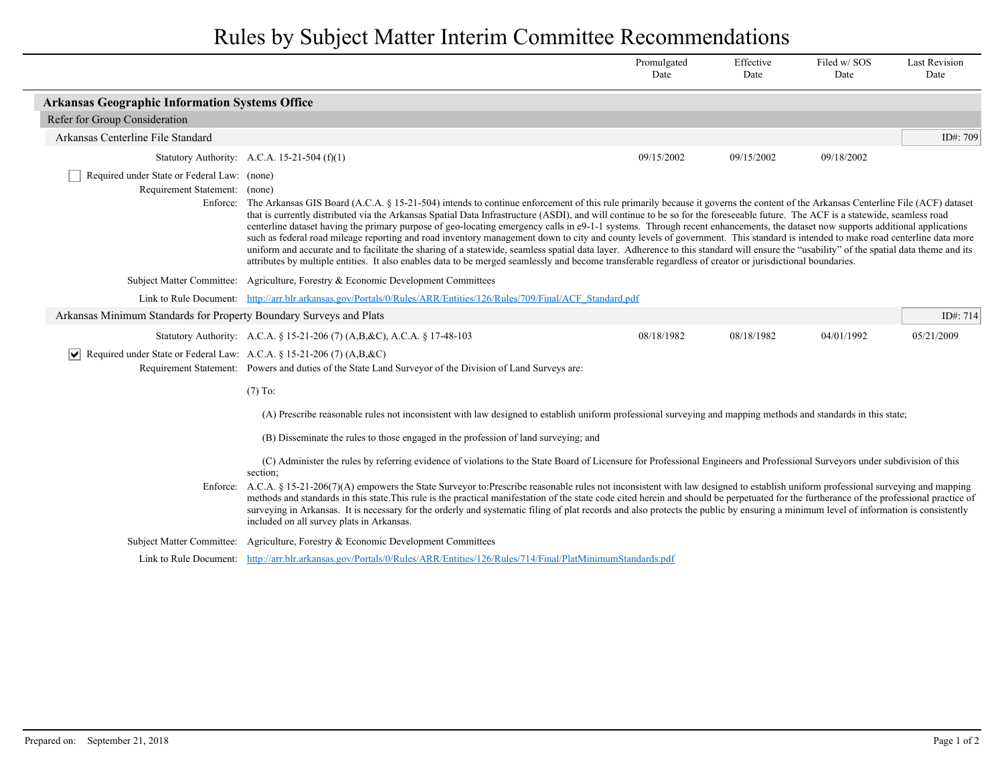## Rules by Subject Matter Interim Committee Recommendations

|                                                                                                                                                                                                                                                       |                                                                                                                                                                                                                                                                                                                                                                                                                                                                                                                                                                                                                                                                                                                                                                                                                                                                                                                                                                                                                                                                                                                                              | Promulgated<br>Date | Effective<br>Date | Filed w/SOS<br>Date | <b>Last Revision</b><br>Date |  |  |  |
|-------------------------------------------------------------------------------------------------------------------------------------------------------------------------------------------------------------------------------------------------------|----------------------------------------------------------------------------------------------------------------------------------------------------------------------------------------------------------------------------------------------------------------------------------------------------------------------------------------------------------------------------------------------------------------------------------------------------------------------------------------------------------------------------------------------------------------------------------------------------------------------------------------------------------------------------------------------------------------------------------------------------------------------------------------------------------------------------------------------------------------------------------------------------------------------------------------------------------------------------------------------------------------------------------------------------------------------------------------------------------------------------------------------|---------------------|-------------------|---------------------|------------------------------|--|--|--|
| <b>Arkansas Geographic Information Systems Office</b>                                                                                                                                                                                                 |                                                                                                                                                                                                                                                                                                                                                                                                                                                                                                                                                                                                                                                                                                                                                                                                                                                                                                                                                                                                                                                                                                                                              |                     |                   |                     |                              |  |  |  |
| Refer for Group Consideration                                                                                                                                                                                                                         |                                                                                                                                                                                                                                                                                                                                                                                                                                                                                                                                                                                                                                                                                                                                                                                                                                                                                                                                                                                                                                                                                                                                              |                     |                   |                     |                              |  |  |  |
| Arkansas Centerline File Standard                                                                                                                                                                                                                     |                                                                                                                                                                                                                                                                                                                                                                                                                                                                                                                                                                                                                                                                                                                                                                                                                                                                                                                                                                                                                                                                                                                                              |                     |                   |                     | ID#: 709                     |  |  |  |
|                                                                                                                                                                                                                                                       | Statutory Authority: A.C.A. 15-21-504 $(f)(1)$                                                                                                                                                                                                                                                                                                                                                                                                                                                                                                                                                                                                                                                                                                                                                                                                                                                                                                                                                                                                                                                                                               | 09/15/2002          | 09/15/2002        | 09/18/2002          |                              |  |  |  |
| Required under State or Federal Law: (none)                                                                                                                                                                                                           | Requirement Statement: (none)<br>The Arkansas GIS Board (A.C.A. § 15-21-504) intends to continue enforcement of this rule primarily because it governs the content of the Arkansas Centerline File (ACF) dataset<br>Enforce:<br>that is currently distributed via the Arkansas Spatial Data Infrastructure (ASDI), and will continue to be so for the foreseeable future. The ACF is a statewide, seamless road<br>centerline dataset having the primary purpose of geo-locating emergency calls in e9-1-1 systems. Through recent enhancements, the dataset now supports additional applications<br>such as federal road mileage reporting and road inventory management down to city and county levels of government. This standard is intended to make road centerline data more<br>uniform and accurate and to facilitate the sharing of a statewide, seamless spatial data layer. Adherence to this standard will ensure the "usability" of the spatial data theme and its<br>attributes by multiple entities. It also enables data to be merged seamlessly and become transferable regardless of creator or jurisdictional boundaries. |                     |                   |                     |                              |  |  |  |
|                                                                                                                                                                                                                                                       | Subject Matter Committee: Agriculture, Forestry & Economic Development Committees                                                                                                                                                                                                                                                                                                                                                                                                                                                                                                                                                                                                                                                                                                                                                                                                                                                                                                                                                                                                                                                            |                     |                   |                     |                              |  |  |  |
|                                                                                                                                                                                                                                                       | Link to Rule Document: http://arr.blr.arkansas.gov/Portals/0/Rules/ARR/Entities/126/Rules/709/Final/ACF Standard.pdf                                                                                                                                                                                                                                                                                                                                                                                                                                                                                                                                                                                                                                                                                                                                                                                                                                                                                                                                                                                                                         |                     |                   |                     |                              |  |  |  |
| Arkansas Minimum Standards for Property Boundary Surveys and Plats                                                                                                                                                                                    |                                                                                                                                                                                                                                                                                                                                                                                                                                                                                                                                                                                                                                                                                                                                                                                                                                                                                                                                                                                                                                                                                                                                              |                     |                   |                     | ID#: 714                     |  |  |  |
|                                                                                                                                                                                                                                                       | Statutory Authority: A.C.A. § 15-21-206 (7) (A,B, &C), A.C.A. § 17-48-103                                                                                                                                                                                                                                                                                                                                                                                                                                                                                                                                                                                                                                                                                                                                                                                                                                                                                                                                                                                                                                                                    | 08/18/1982          | 08/18/1982        | 04/01/1992          | 05/21/2009                   |  |  |  |
| $\triangleright$ Required under State or Federal Law: A.C.A. § 15-21-206 (7) (A,B,&C)                                                                                                                                                                 | Requirement Statement: Powers and duties of the State Land Surveyor of the Division of Land Surveys are:                                                                                                                                                                                                                                                                                                                                                                                                                                                                                                                                                                                                                                                                                                                                                                                                                                                                                                                                                                                                                                     |                     |                   |                     |                              |  |  |  |
|                                                                                                                                                                                                                                                       | $(7)$ To:                                                                                                                                                                                                                                                                                                                                                                                                                                                                                                                                                                                                                                                                                                                                                                                                                                                                                                                                                                                                                                                                                                                                    |                     |                   |                     |                              |  |  |  |
| (A) Prescribe reasonable rules not inconsistent with law designed to establish uniform professional surveying and mapping methods and standards in this state;<br>(B) Disseminate the rules to those engaged in the profession of land surveying; and |                                                                                                                                                                                                                                                                                                                                                                                                                                                                                                                                                                                                                                                                                                                                                                                                                                                                                                                                                                                                                                                                                                                                              |                     |                   |                     |                              |  |  |  |
|                                                                                                                                                                                                                                                       | (C) Administer the rules by referring evidence of violations to the State Board of Licensure for Professional Engineers and Professional Surveyors under subdivision of this<br>section;<br>Enforce: A.C.A. § 15-21-206(7)(A) empowers the State Surveyor to:Prescribe reasonable rules not inconsistent with law designed to establish uniform professional surveying and mapping<br>methods and standards in this state. This rule is the practical manifestation of the state code cited herein and should be perpetuated for the furtherance of the professional practice of<br>surveying in Arkansas. It is necessary for the orderly and systematic filing of plat records and also protects the public by ensuring a minimum level of information is consistently<br>included on all survey plats in Arkansas.                                                                                                                                                                                                                                                                                                                        |                     |                   |                     |                              |  |  |  |
|                                                                                                                                                                                                                                                       | Subject Matter Committee: Agriculture, Forestry & Economic Development Committees                                                                                                                                                                                                                                                                                                                                                                                                                                                                                                                                                                                                                                                                                                                                                                                                                                                                                                                                                                                                                                                            |                     |                   |                     |                              |  |  |  |
|                                                                                                                                                                                                                                                       | Link to Rule Document: http://arr.blr.arkansas.gov/Portals/0/Rules/ARR/Entities/126/Rules/714/Final/PlatMinimumStandards.pdf                                                                                                                                                                                                                                                                                                                                                                                                                                                                                                                                                                                                                                                                                                                                                                                                                                                                                                                                                                                                                 |                     |                   |                     |                              |  |  |  |
|                                                                                                                                                                                                                                                       |                                                                                                                                                                                                                                                                                                                                                                                                                                                                                                                                                                                                                                                                                                                                                                                                                                                                                                                                                                                                                                                                                                                                              |                     |                   |                     |                              |  |  |  |